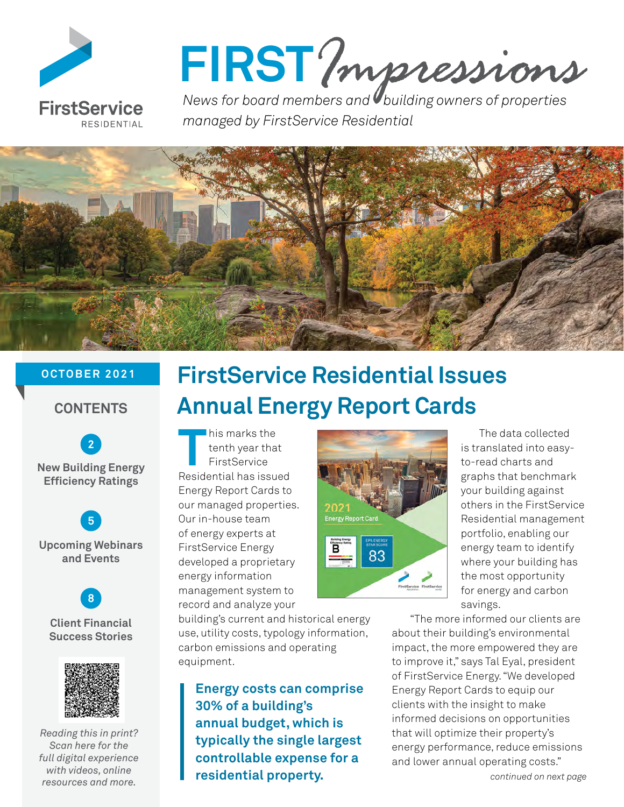

# FIRST? *mpressions*

*managed by FirstService Residential*



## **OCTOBER 2021**

# **CONTENTS**

 **[2](#page-1-0) New Building Energy Efficiency Ratings**

 **[5](#page-4-0) Upcoming Webinars and Events** 



## **Client Financial Success Stories**



*Reading this in print? Scan here for the full digital experience with videos, online resources and more.* 

# **FirstService Residential Issues Annual Energy Report Cards**

**This marks the<br>
<b>The Heath year tha**<br>
First Service<br> **The Residential has issue** tenth year that FirstService Residential has issued Energy Report Cards to our managed properties. Our in-house team of energy experts at FirstService Energy developed a proprietary energy information management system to record and analyze your

building's current and historical energy use, utility costs, typology information, carbon emissions and operating equipment.

**Energy costs can comprise 30% of a building's annual budget, which is typically the single largest controllable expense for a residential property.**



The data collected is translated into easyto-read charts and graphs that benchmark your building against others in the FirstService Residential management portfolio, enabling our energy team to identify where your building has the most opportunity for energy and carbon savings.

"The more informed our clients are about their building's environmental impact, the more empowered they are to improve it," says Tal Eyal, president of FirstService Energy. "We developed Energy Report Cards to equip our clients with the insight to make informed decisions on opportunities that will optimize their property's energy performance, reduce emissions and lower annual operating costs."

*continued on next page*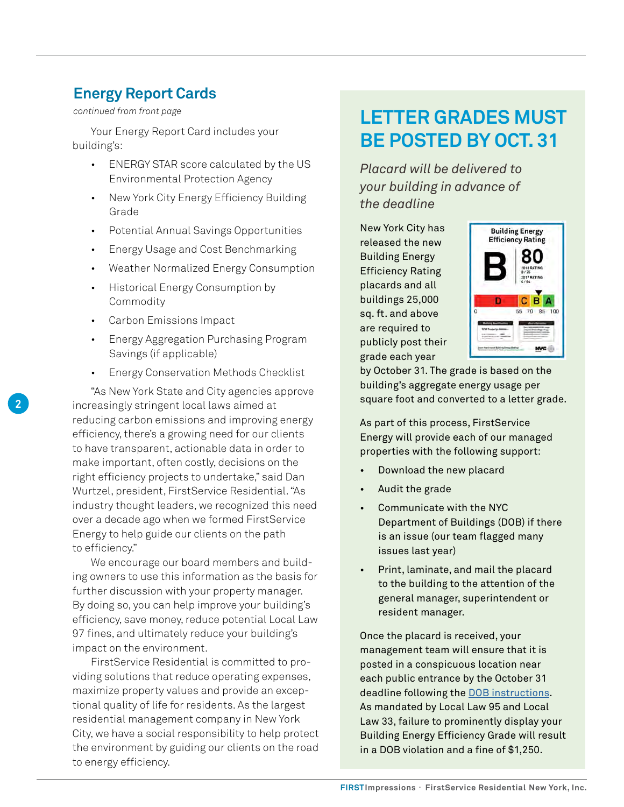# <span id="page-1-0"></span>**Energy Report Cards**

Your Energy Report Card includes your building's:

- ENERGY STAR score calculated by the US Environmental Protection Agency
- New York City Energy Efficiency Building Grade
- Potential Annual Savings Opportunities
- Energy Usage and Cost Benchmarking
- Weather Normalized Energy Consumption
- Historical Energy Consumption by Commodity
- Carbon Emissions Impact

**2**

- Energy Aggregation Purchasing Program Savings (if applicable)
- Energy Conservation Methods Checklist

"As New York State and City agencies approve increasingly stringent local laws aimed at reducing carbon emissions and improving energy efficiency, there's a growing need for our clients to have transparent, actionable data in order to make important, often costly, decisions on the right efficiency projects to undertake," said Dan Wurtzel, president, FirstService Residential. "As industry thought leaders, we recognized this need over a decade ago when we formed FirstService Energy to help guide our clients on the path to efficiency."

We encourage our board members and building owners to use this information as the basis for further discussion with your property manager. By doing so, you can help improve your building's efficiency, save money, reduce potential Local Law 97 fines, and ultimately reduce your building's impact on the environment.

FirstService Residential is committed to providing solutions that reduce operating expenses, maximize property values and provide an exceptional quality of life for residents. As the largest residential management company in New York City, we have a social responsibility to help protect the environment by guiding our clients on the road to energy efficiency.

# *continued from front page* **LETTER GRADES MUST BE POSTED BY OCT. 31**

*Placard will be delivered to your building in advance of the deadline*

New York City has released the new Building Energy Efficiency Rating placards and all buildings 25,000 sq. ft. and above are required to publicly post their grade each year



by October 31. The grade is based on the building's aggregate energy usage per square foot and converted to a letter grade.

As part of this process, FirstService Energy will provide each of our managed properties with the following support:

- Download the new placard
- Audit the grade
- Communicate with the NYC Department of Buildings (DOB) if there is an issue (our team flagged many issues last year)
- Print, laminate, and mail the placard to the building to the attention of the general manager, superintendent or resident manager.

Once the placard is received, your management team will ensure that it is posted in a conspicuous location near each public entrance by the October 31 deadline following the [DOB instructions](https://www1.nyc.gov/site/buildings/codes/compliance-instructions.page). As mandated by Local Law 95 and Local Law 33, failure to prominently display your Building Energy Efficiency Grade will result in a DOB violation and a fine of \$1,250.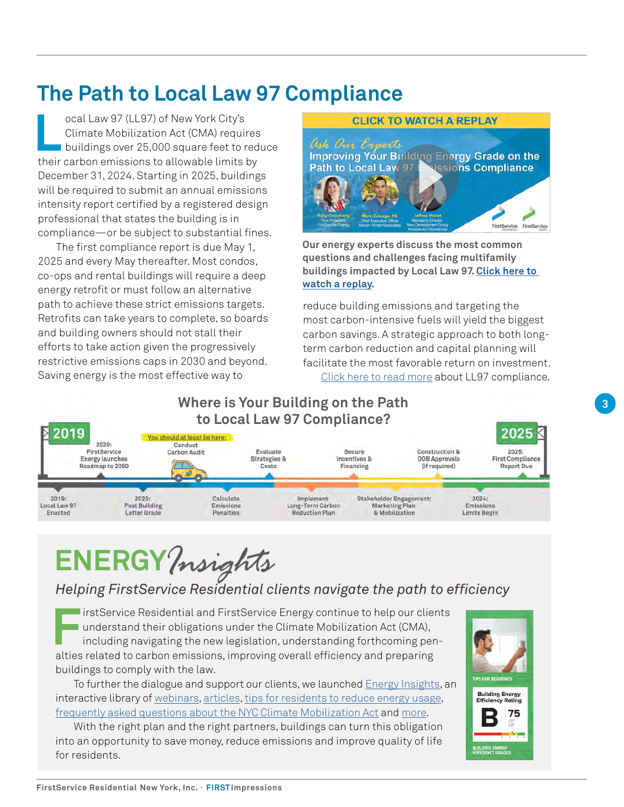# **The Path to Local Law 97 Compliance**

**L**ocal Law 97 (LL97) of New York City's Climate Mobilization Act (CMA) requires buildings over 25,000 square feet to reduce their carbon emissions to allowable limits by December 31, 2024. Starting in 2025, buildings will be required to submit an annual emissions intensity report certified by a registered design professional that states the building is in compliance—or be subject to substantial fines.

The first compliance report is due May 1, 2025 and every May thereafter. Most condos, co-ops and rental buildings will require a deep energy retrofit or must follow an alternative path to achieve these strict emissions targets. Retrofits can take years to complete, so boards and building owners should not stall their efforts to take action given the progressively restrictive emissions caps in 2030 and beyond. Saving energy is the most effective way to



**Our energy experts discuss the most common questions and challenges facing multifamily buildings impacted by Local Law 97. [Click here to](https://www.youtube.com/embed/cDUYZxupeyo)  [watch a replay.](https://www.youtube.com/embed/cDUYZxupeyo)** 

reduce building emissions and targeting the most carbon-intensive fuels will yield the biggest carbon savings. A strategic approach to both longterm carbon reduction and capital planning will facilitate the most favorable return on investment. [Click here to read more](https://www.fsresidential.com/new-york/news-events/articles-and-news/local-law-97-updates-building-energy-grades-emissi/) about LL97 compliance.



# **ENERGY***Insights*

# *Helping FirstService Residential clients navigate the path to efficiency*

**First** Service Residential and FirstService Energy continue to help our clients<br>
understand their obligations under the Climate Mobilization Act (CMA),<br>
including navigating the new legislation, understanding forthcoming understand their obligations under the Climate Mobilization Act (CMA), including navigating the new legislation, understanding forthcoming penalties related to carbon emissions, improving overall efficiency and preparing buildings to comply with the law.

To further the dialogue and support our clients, we launched **Energy Insights**, an interactive library of [webinars](https://firstserviceenergyinsights.fsresidential.com/webinars), [articles,](https://firstserviceenergyinsights.fsresidential.com/articles) [tips for residents to reduce energy usage,](https://firstserviceenergyinsights.fsresidential.com/tips-for-residents) [frequently asked questions about the NYC Climate Mobilization Act](https://lp.fsresidential.com/acton/attachment/34953/f-ef018b79-3c99-4eef-8574-7b7afe0dcaee/1/-/-/-/-/Climate%20Mobilization%20Act%20FAQ%28lo%29.pdf) and [more](https://firstserviceenergyinsights.fsresidential.com/energy-conservation-resources).

With the right plan and the right partners, buildings can turn this obligation into an opportunity to save money, reduce emissions and improve quality of life for residents.

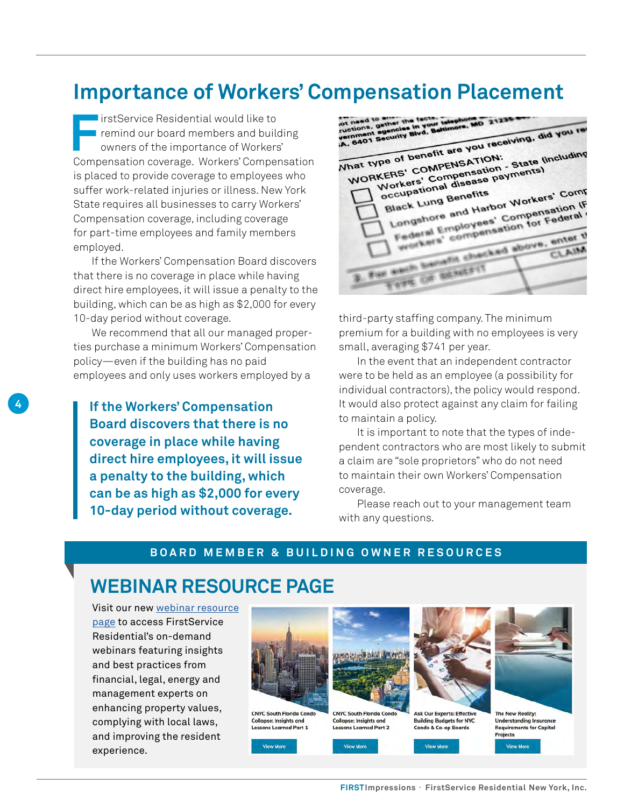# **Importance of Workers' Compensation Placement**

**FirstService Residential would like to remind our board members and building** owners of the importance of Workers' Compensation coverage. Workers' Compensation is placed to provide coverage to employees who suffer work-related injuries or illness. New York State requires all businesses to carry Workers' Compensation coverage, including coverage for part-time employees and family members employed.

If the Workers' Compensation Board discovers that there is no coverage in place while having direct hire employees, it will issue a penalty to the building, which can be as high as \$2,000 for every 10-day period without coverage.

We recommend that all our managed properties purchase a minimum Workers' Compensation policy—even if the building has no paid employees and only uses workers employed by a

**4**

**If the Workers' Compensation Board discovers that there is no coverage in place while having direct hire employees, it will issue a penalty to the building, which can be as high as \$2,000 for every 10-day period without coverage.**

ot need to sther the fact<br>ructions, gather the fact<br>vernment agencity Blvd.<br>iA, 6401 Security Blvd. What type of benefit are you receiving, did you receiving. The of benefit are you receives including<br>KERS' COMPENSATION: State lincluding<br>Workers' Compensation<br>Workers' Compensation<br>occupational disease payments' Comp hat type of benefit are you.<br>WORKERS' COMPENSATION:<br>WORKERS' Compensation es COMPENSATION - State V<br>CERS' Compensation - State V<br>Morkers' Compensation - State View<br>occupational disease payments<br>occupational disease in Morker orkers<br>Coupational disease<br>Slack Lung Benefits<br>Longshore and Harbor Workers' Compression (For the Longshore and Harbor Montenal) Black Lung Benefits Federal Employees' Compensation (Figure 2) eck Line and Harbor<br>congshore and Harbor Compensation for Federal<br>rederal Employees' Compensation for Federal<br>wighters' compensation for enter the For each benustia checked above, enter the providents' compensation rows, enter the **Baye Of BENEFIT** 

third-party staffing company. The minimum premium for a building with no employees is very small, averaging \$741 per year.

In the event that an independent contractor were to be held as an employee (a possibility for individual contractors), the policy would respond. It would also protect against any claim for failing to maintain a policy.

It is important to note that the types of independent contractors who are most likely to submit a claim are "sole proprietors" who do not need to maintain their own Workers' Compensation coverage.

Please reach out to your management team with any questions.

#### **BOARD MEMBER & BUILDING OWNER RESOURCES**

# **WEBINAR RESOURCE PAGE**

Visit our new [webinar resource](https://www.fsresidential.com/new-york/news-events/webinar-library/)  [page](https://www.fsresidential.com/new-york/news-events/webinar-library/) to access FirstService Residential's on-demand webinars featuring insights and best practices from financial, legal, energy and management experts on enhancing property values, complying with local laws, and improving the resident experience.

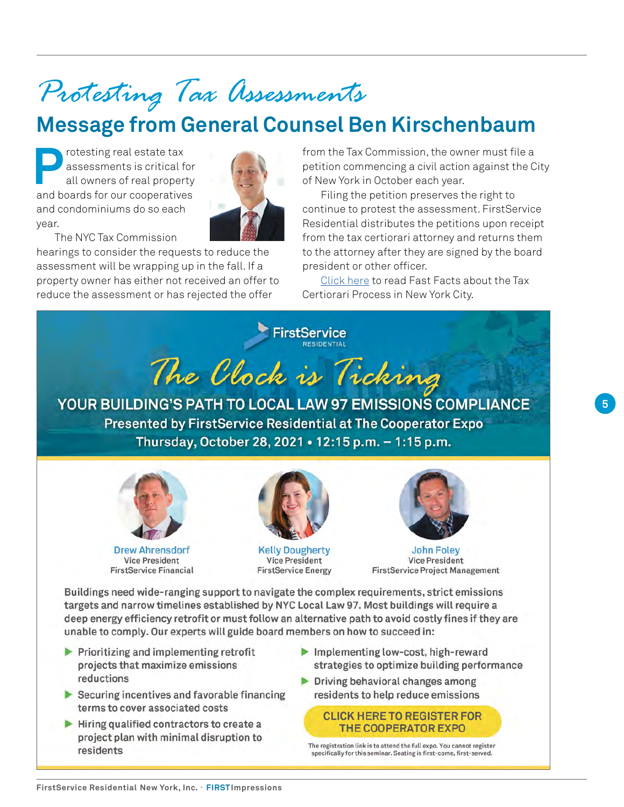# <span id="page-4-0"></span>*Protesting Tax Assessments*

# **Message from General Counsel Ben Kirschenbaum**

Protesting real estate tax<br>assessments is critical f<br>all owners of real proper assessments is critical for all owners of real property and boards for our cooperatives and condominiums do so each year.



The NYC Tax Commission hearings to consider the requests to reduce the

assessment will be wrapping up in the fall. If a property owner has either not received an offer to reduce the assessment or has rejected the offer

from the Tax Commission, the owner must file a petition commencing a civil action against the City of New York in October each year.

Filing the petition preserves the right to continue to protest the assessment. FirstService Residential distributes the petitions upon receipt from the tax certiorari attorney and returns them to the attorney after they are signed by the board president or other officer.

[Click here](https://www.fsresidential.com/new-york/news-events/articles-and-news/tax-certiorari-fast-facts-for-boards-and-owners-in/) to read Fast Facts about the Tax Certiorari Process in New York City.





**Drew Ahrensdorf Vice President FirstService Financial** 



**Kelly Dougherty Vice President FirstService Energy** 



**John Foley Vice President FirstService Project Management** 

Buildings need wide-ranging support to navigate the complex requirements, strict emissions targets and narrow timelines established by NYC Local Law 97. Most buildings will require a deep energy efficiency retrofit or must follow an alternative path to avoid costly fines if they are unable to comply. Our experts will guide board members on how to succeed in:

- $\blacktriangleright$  Prioritizing and implementing retrofit projects that maximize emissions reductions
- $\triangleright$  Securing incentives and favorable financing terms to cover associated costs
- $\blacktriangleright$  Hiring qualified contractors to create a project plan with minimal disruption to residents
- Implementing low-cost, high-reward strategies to optimize building performance
- Driving behavioral changes among residents to help reduce emissions

**CLICK HERE TO REGISTER FOR THE COOPERATOR EXPO** 

The registration link is to attend the full expo. You cannot register specifically for this seminar. Seating is first-come, first-served.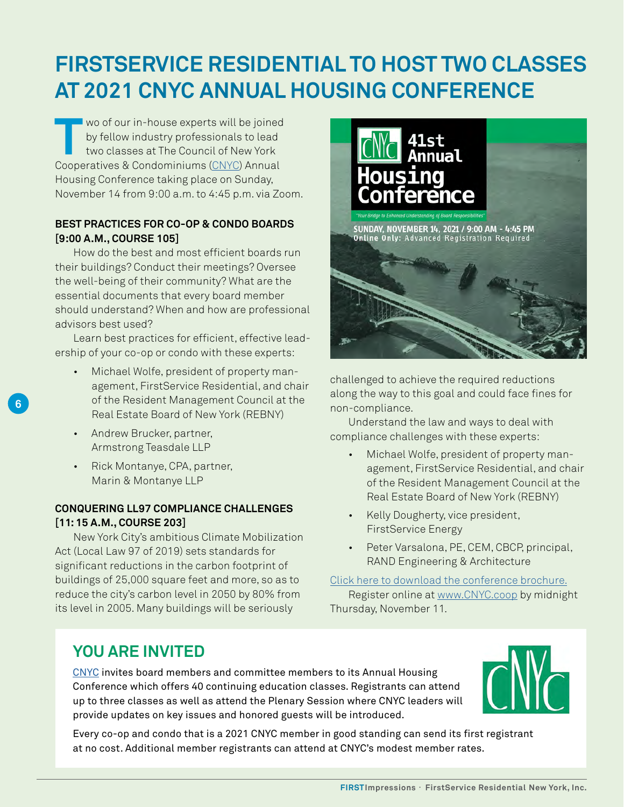# **FIRSTSERVICE RESIDENTIAL TO HOST TWO CLASSES AT 2021 CNYC ANNUAL HOUSING CONFERENCE**

**THE WOLF WOO FOUR THE WOO FOUR THE WOOD CONSERVANT OF STATE OF A WOOD CONSERVANT COOPDITIONS (CNVC) APPLIED** by fellow industry professionals to lead two classes at The Council of New York Cooperatives & Condominiums [\(CNYC\)](http://www.cnyc.com/about.htm) Annual Housing Conference taking place on Sunday, November 14 from 9:00 a.m. to 4:45 p.m. via Zoom.

## **BEST PRACTICES FOR CO-OP & CONDO BOARDS [9:00 A.M., COURSE 105]**

How do the best and most efficient boards run their buildings? Conduct their meetings? Oversee the well-being of their community? What are the essential documents that every board member should understand? When and how are professional advisors best used?

Learn best practices for efficient, effective leadership of your co-op or condo with these experts:

- Michael Wolfe, president of property management, FirstService Residential, and chair of the Resident Management Council at the Real Estate Board of New York (REBNY)
- Andrew Brucker, partner, Armstrong Teasdale LLP

**6**

• Rick Montanye, CPA, partner, Marin & Montanye LLP

## **CONQUERING LL97 COMPLIANCE CHALLENGES [11: 15 A.M., COURSE 203]**

New York City's ambitious Climate Mobilization Act (Local Law 97 of 2019) sets standards for significant reductions in the carbon footprint of buildings of 25,000 square feet and more, so as to reduce the city's carbon level in 2050 by 80% from its level in 2005. Many buildings will be seriously



challenged to achieve the required reductions along the way to this goal and could face fines for non-compliance.

Understand the law and ways to deal with compliance challenges with these experts:

- Michael Wolfe, president of property management, FirstService Residential, and chair of the Resident Management Council at the Real Estate Board of New York (REBNY)
- Kelly Dougherty, vice president, FirstService Energy
- Peter Varsalona, PE, CEM, CBCP, principal, RAND Engineering & Architecture

[Click here to download the conference brochure.](https://cnyc.com/pdf/41st_OnLine_Brochure_r3.pdf) Register online at [www.CNYC.coop](https://cnyc.com/ahc2021/welcome.php) by midnight Thursday, November 11.

# **YOU ARE INVITED**

[CNYC](http://www.cnyc.com/about.htm) invites board members and committee members to its Annual Housing Conference which offers 40 continuing education classes. Registrants can attend up to three classes as well as attend the Plenary Session where CNYC leaders will provide updates on key issues and honored guests will be introduced.



Every co-op and condo that is a 2021 CNYC member in good standing can send its first registrant at no cost. Additional member registrants can attend at CNYC's modest member rates.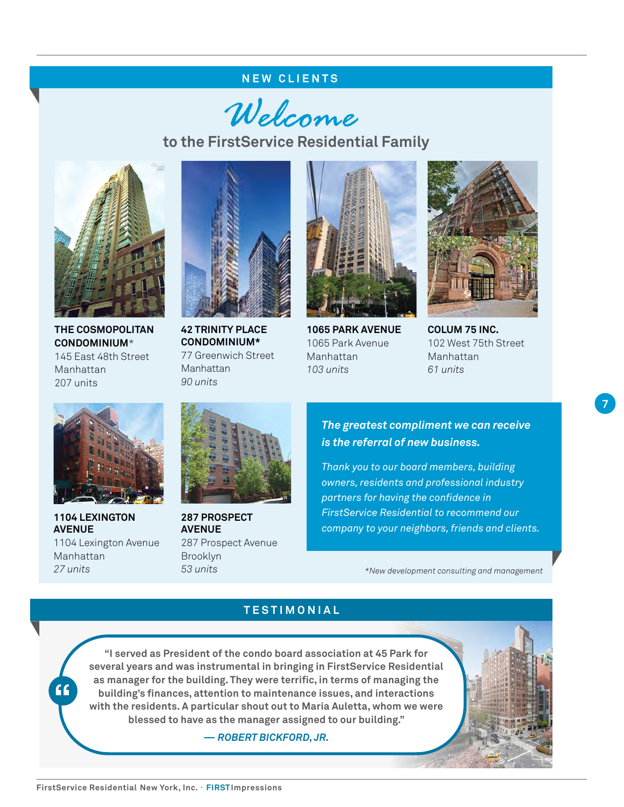#### **NEW CLIENTS**

Welcome

**to the FirstService Residential Family**



**THE COSMOPOLITAN CONDOMINIUM**\* 145 East 48th Street Manhattan 207 units



**42 TRINITY PLACE CONDOMINIUM\*** 77 Greenwich Street Manhattan *90 units*



**1065 PARK AVENUE**  1065 Park Avenue Manhattan *103 units*



**COLUM 75 INC.** 102 West 75th Street Manhattan *61 units*

**7**



**1104 LEXINGTON AVENUE**  1104 Lexington Avenue Manhattan *27 units*

**"**



**287 PROSPECT AVENUE** 287 Prospect Avenue Brooklyn *53 units*

*The greatest compliment we can receive is the referral of new business.*

*Thank you to our board members, building owners, residents and professional industry partners for having the confidence in FirstService Residential to recommend our company to your neighbors, friends and clients.*

*\*New development consulting and management*

### **TESTIMONIAL**

**"I served as President of the condo board association at 45 Park for several years and was instrumental in bringing in FirstService Residential as manager for the building. They were terrific, in terms of managing the building's finances, attention to maintenance issues, and interactions with the residents. A particular shout out to Maria Auletta, whom we were blessed to have as the manager assigned to our building."**

*— ROBERT BICKFORD, JR.*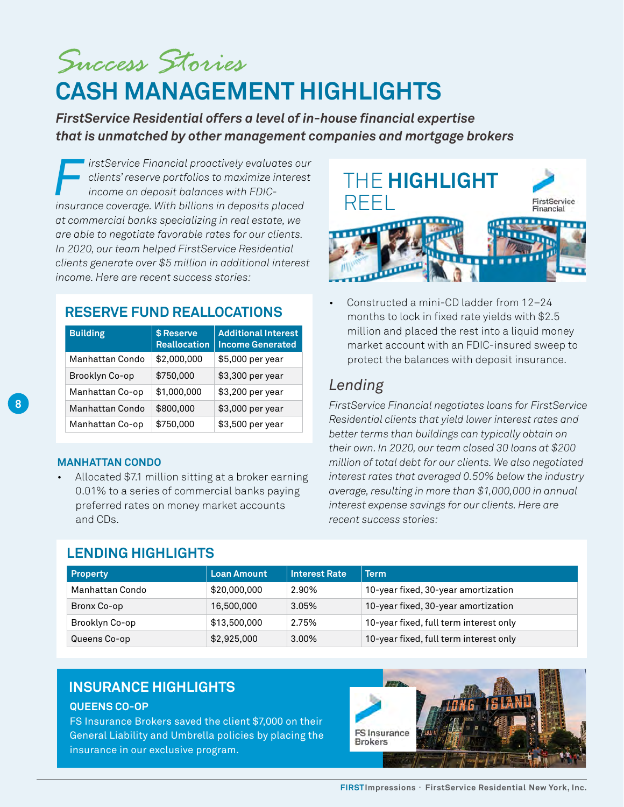<span id="page-7-0"></span>*Success Stories*  **CASH MANAGEMENT HIGHLIGHTS**

*FirstService Residential offers a level of in-house financial expertise that is unmatched by other management companies and mortgage brokers* 

*FirstService Financial proactively evaluates our clients' reserve portfolios to maximize interest income on deposit balances with FDICinsurance coverage. With billions in deposits placed at commercial banks specializing in real estate, we are able to negotiate favorable rates for our clients. In 2020, our team helped FirstService Residential clients generate over \$5 million in additional interest income. Here are recent success stories:*

# **RESERVE FUND REALLOCATIONS**

| <b>Building</b>        | \$ Reserve<br><b>Reallocation</b> | <b>Additional Interest</b><br><b>Income Generated</b> |
|------------------------|-----------------------------------|-------------------------------------------------------|
| <b>Manhattan Condo</b> | \$2,000,000                       | \$5,000 per year                                      |
| Brooklyn Co-op         | \$750,000                         | \$3,300 per year                                      |
| Manhattan Co-op        | \$1,000,000                       | \$3,200 per year                                      |
| <b>Manhattan Condo</b> | \$800,000                         | \$3,000 per year                                      |
| Manhattan Co-op        | \$750,000                         | \$3,500 per year                                      |

#### **MANHATTAN CONDO**

• Allocated \$7.1 million sitting at a broker earning 0.01% to a series of commercial banks paying preferred rates on money market accounts and CDs.

## **LENDING HIGHLIGHTS**



• Constructed a mini-CD ladder from 12–24 months to lock in fixed rate yields with \$2.5 million and placed the rest into a liquid money market account with an FDIC-insured sweep to protect the balances with deposit insurance.

# *Lending*

*FirstService Financial negotiates loans for FirstService Residential clients that yield lower interest rates and better terms than buildings can typically obtain on their own. In 2020, our team closed 30 loans at \$200 million of total debt for our clients. We also negotiated interest rates that averaged 0.50% below the industry average, resulting in more than \$1,000,000 in annual interest expense savings for our clients. Here are recent success stories:*

| Property        | <b>Loan Amount</b> | <b>Interest Rate</b> | <b>Term</b>                            |  |  |
|-----------------|--------------------|----------------------|----------------------------------------|--|--|
| Manhattan Condo | \$20,000,000       | 2.90%                | 10-year fixed, 30-year amortization    |  |  |
| Bronx Co-op     | 16,500,000         | 3.05%                | 10-year fixed, 30-year amortization    |  |  |
| Brooklyn Co-op  | \$13,500,000       | 2.75%                | 10-year fixed, full term interest only |  |  |
| Queens Co-op    | \$2,925,000        | 3.00%                | 10-year fixed, full term interest only |  |  |

## **INSURANCE HIGHLIGHTS**

## **QUEENS CO-OP**

FS Insurance Brokers saved the client \$7,000 on their General Liability and Umbrella policies by placing the insurance in our exclusive program.

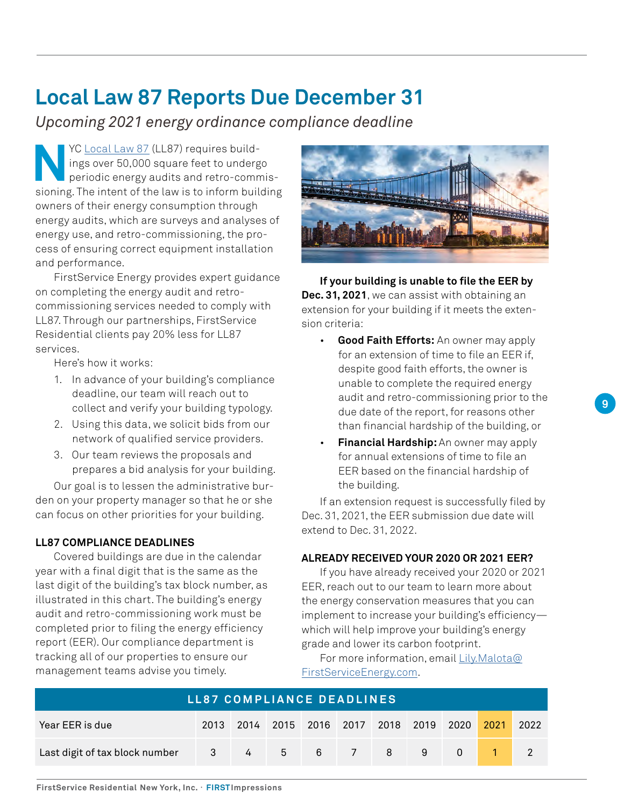# **Local Law 87 Reports Due December 31**

*Upcoming 2021 energy ordinance compliance deadline*

**NOC [Local Law 87](https://www1.nyc.gov/html/gbee/html/plan/ll87.shtml) (LL87) requires build-<br>ings over 50,000 square feet to under<br>periodic energy audits and retro-comm<br>sioning. The intent of the law is to inform buil** ings over 50,000 square feet to undergo periodic energy audits and retro-commissioning. The intent of the law is to inform building owners of their energy consumption through energy audits, which are surveys and analyses of energy use, and retro-commissioning, the process of ensuring correct equipment installation and performance.

FirstService Energy provides expert guidance on completing the energy audit and retrocommissioning services needed to comply with LL87. Through our partnerships, FirstService Residential clients pay 20% less for LL87 services.

Here's how it works:

- 1. In advance of your building's compliance deadline, our team will reach out to collect and verify your building typology.
- 2. Using this data, we solicit bids from our network of qualified service providers.
- 3. Our team reviews the proposals and prepares a bid analysis for your building.

Our goal is to lessen the administrative burden on your property manager so that he or she can focus on other priorities for your building.

#### **LL87 COMPLIANCE DEADLINES**

Covered buildings are due in the calendar year with a final digit that is the same as the last digit of the building's tax block number, as illustrated in this chart. The building's energy audit and retro-commissioning work must be completed prior to filing the energy efficiency report (EER). Our compliance department is tracking all of our properties to ensure our management teams advise you timely.



**If your building is unable to file the EER by Dec. 31, 2021**, we can assist with obtaining an extension for your building if it meets the extension criteria:

- **Good Faith Efforts:** An owner may apply for an extension of time to file an EER if, despite good faith efforts, the owner is unable to complete the required energy audit and retro-commissioning prior to the due date of the report, for reasons other than financial hardship of the building, or
- **Financial Hardship:** An owner may apply for annual extensions of time to file an EER based on the financial hardship of the building.

If an extension request is successfully filed by Dec. 31, 2021, the EER submission due date will extend to Dec. 31, 2022.

#### **ALREADY RECEIVED YOUR 2020 OR 2021 EER?**

If you have already received your 2020 or 2021 EER, reach out to our team to learn more about the energy conservation measures that you can implement to increase your building's efficiency which will help improve your building's energy grade and lower its carbon footprint.

For more information, email [Lily.Malota@](mailto:Lily.Malota%40FirstServiceEnergy.com?subject=) [FirstServiceEnergy.com.](mailto:Lily.Malota%40FirstServiceEnergy.com?subject=)

| LL87 COMPLIANCE DEADLINES      |      |          |  |  |  |                               |   |        |      |      |
|--------------------------------|------|----------|--|--|--|-------------------------------|---|--------|------|------|
| Year EER is due                | 2013 |          |  |  |  | 2014 2015 2016 2017 2018 2019 |   | 2020   | 2021 | 2022 |
| Last digit of tax block number |      | $3 \t 4$ |  |  |  | $5 \t6 \t7 \t8$               | 9 | $\cap$ |      |      |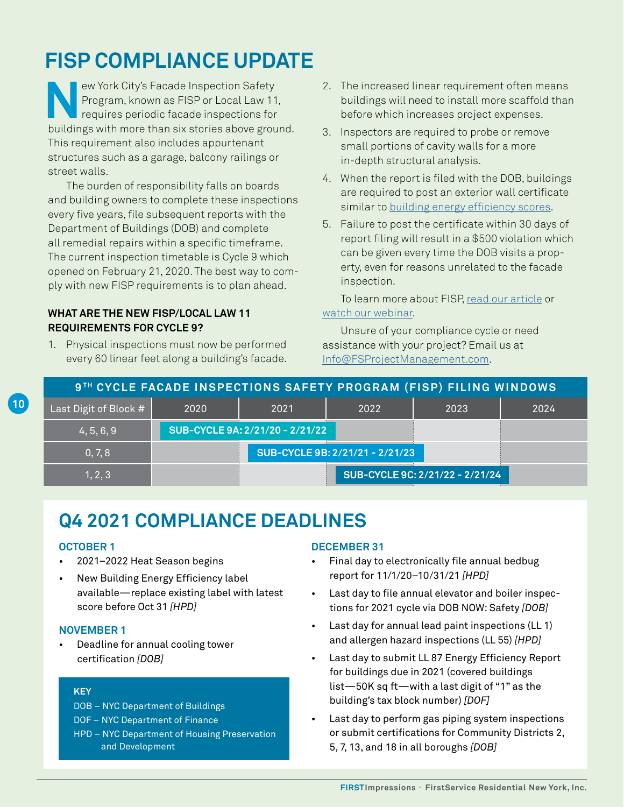# **FISP COMPLIANCE UPDATE**

**New York City's Facade Inspection Safety<br>Program, known as FISP or Local Law 11<br>requires periodic facade inspections for<br>huildings with more than six stories above group** Program, known as FISP or Local Law 11, requires periodic facade inspections for buildings with more than six stories above ground. This requirement also includes appurtenant structures such as a garage, balcony railings or street walls.

The burden of responsibility falls on boards and building owners to complete these inspections every five years, file subsequent reports with the Department of Buildings (DOB) and complete all remedial repairs within a specific timeframe. The current inspection timetable is Cycle 9 which opened on February 21, 2020. The best way to comply with new FISP requirements is to plan ahead.

#### **WHAT ARE THE NEW FISP/LOCAL LAW 11 REQUIREMENTS FOR CYCLE 9?**

1. Physical inspections must now be performed every 60 linear feet along a building's facade.

- 2. The increased linear requirement often means buildings will need to install more scaffold than before which increases project expenses.
- 3. Inspectors are required to probe or remove small portions of cavity walls for a more in-depth structural analysis.
- 4. When the report is filed with the DOB, buildings are required to post an exterior wall certificate similar to [building energy efficiency scores](https://www.fsresidential.com/new-york/news-and-events/articles/ins-outs-of-nyc-building-energy-grades).
- 5. Failure to post the certificate within 30 days of report filing will result in a \$500 violation which can be given every time the DOB visits a property, even for reasons unrelated to the facade inspection.

To learn more about FISP, [read our article](https://www.fsresidential.com/new-york/news-and-events/articles/understanding-fisp-cycle-9-requirements) or [watch our webinar.](https://www.youtube.com/watch?v=4yOQgR6MJ7E&feature=youtu.be)

Unsure of your compliance cycle or need assistance with your project? Email us at [Info@FSProjectManagement.com](mailto:Info%40FSProjectManagement.com?subject=).

| 9TH CYCLE FACADE INSPECTIONS SAFETY PROGRAM (FISP) FILING WINDOWS |                                 |                                 |      |                                 |      |  |  |  |
|-------------------------------------------------------------------|---------------------------------|---------------------------------|------|---------------------------------|------|--|--|--|
| Last Digit of Block #                                             | 2020                            | 2021                            | 2022 | 2023                            | 2024 |  |  |  |
| 4, 5, 6, 9                                                        |                                 | SUB-CYCLE 9A: 2/21/20 - 2/21/22 |      |                                 |      |  |  |  |
| 0, 7, 8                                                           | SUB-CYCLE 9B: 2/21/21 - 2/21/23 |                                 |      |                                 |      |  |  |  |
| 1, 2, 3                                                           |                                 |                                 |      | SUB-CYCLE 9C: 2/21/22 - 2/21/24 |      |  |  |  |

# **Q4 2021 COMPLIANCE DEADLINES**

#### **OCTOBER 1**

**10**

- 2021–2022 Heat Season begins
- New Building Energy Efficiency label available—replace existing label with latest score before Oct 31 *[HPD]*

#### **NOVEMBER 1**

• Deadline for annual cooling tower certification *[DOB]*

#### **KEY**

- DOB NYC Department of Buildings
- DOF NYC Department of Finance
- HPD NYC Department of Housing Preservation and Development

## **DECEMBER 31**

- Final day to electronically file annual bedbug report for 11/1/20–10/31/21 *[HPD]*
- Last day to file annual elevator and boiler inspections for 2021 cycle via DOB NOW: Safety *[DOB]*
- Last day for annual lead paint inspections (LL 1) and allergen hazard inspections (LL 55) *[HPD]*
- Last day to submit LL 87 Energy Efficiency Report for buildings due in 2021 (covered buildings list—50K sq ft—with a last digit of "1" as the building's tax block number) *[DOF]*
- Last day to perform gas piping system inspections or submit certifications for Community Districts 2, 5, 7, 13, and 18 in all boroughs *[DOB]*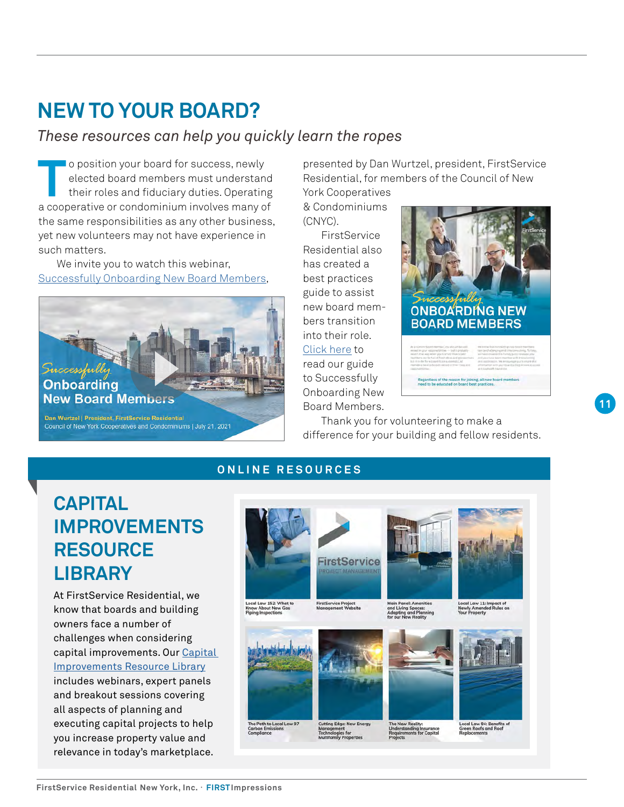# **NEW TO YOUR BOARD?**

# *These resources can help you quickly learn the ropes*

To position your board for success, newly<br>elected board members must understan<br>their roles and fiduciary duties. Operatin<br>a cooperative or condominium involves many of elected board members must understand their roles and fiduciary duties. Operating a cooperative or condominium involves many of the same responsibilities as any other business, yet new volunteers may not have experience in such matters.

We invite you to watch this webinar, [Successfully Onboarding New Board Members](https://www.youtube.com/watch?v=SGzfYsRFDm4),



Dan Wurtzel | President, FirstService Residential Council of New York Cooperatives and Condominiums | July 21, 2021

presented by Dan Wurtzel, president, FirstService Residential, for members of the Council of New York Cooperatives

& Condominiums (CNYC).

**FirstService** Residential also has created a best practices guide to assist new board members transition into their role. [Click here](https://lp.fsresidential.com/acton/attachment/34953/f-9b869f9e-2c11-49c9-8a45-f3322a00835e/1/-/-/-/-/0282-NY-Onboarding-Guide_111219.pdf) to read our guide to Successfully Onboarding New Board Members.



Thank you for volunteering to make a difference for your building and fellow residents.

**Regardless of the reason for joining, all r**<br>need to be educated on board best orac

## **ONLINE RESOURCES**

# **CAPITAL IMPROVEMENTS RESOURCE LIBRARY**

At FirstService Residential, we know that boards and building owners face a number of challenges when considering capital improvements. Our [Capital](https://www.fsresidential.com/new-york/capital-improvements-resource-library)  [Improvements Resource Library](https://www.fsresidential.com/new-york/capital-improvements-resource-library) includes webinars, expert panels and breakout sessions covering all aspects of planning and executing capital projects to help you increase property value and relevance in today's marketplace.



logies for<br>Imily Prope

Local Law 94: Benefits<br>Green Roofs and Roof<br>Replacements

**11**